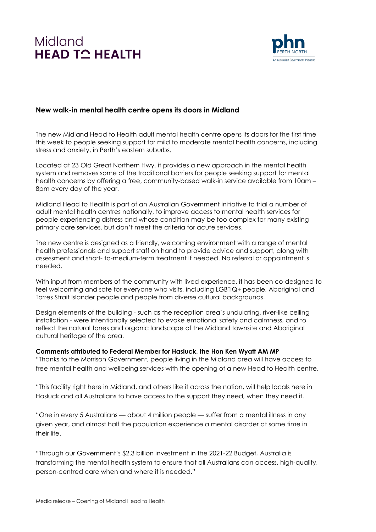# Midland **HEAD TO HEALTH**



# **New walk-in mental health centre opens its doors in Midland**

The new Midland Head to Health adult mental health centre opens its doors for the first time this week to people seeking support for mild to moderate mental health concerns, including stress and anxiety, in Perth's eastern suburbs.

Located at 23 Old Great Northern Hwy, it provides a new approach in the mental health system and removes some of the traditional barriers for people seeking support for mental health concerns by offering a free, community-based walk-in service available from 10am – 8pm every day of the year.

Midland Head to Health is part of an Australian Government initiative to trial a number of adult mental health centres nationally, to improve access to mental health services for people experiencing distress and whose condition may be too complex for many existing primary care services, but don't meet the criteria for acute services.

The new centre is designed as a friendly, welcoming environment with a range of mental health professionals and support staff on hand to provide advice and support, along with assessment and short- to-medium-term treatment if needed. No referral or appointment is needed.

With input from members of the community with lived experience, it has been co-designed to feel welcoming and safe for everyone who visits, including LGBTIQ+ people, Aboriginal and Torres Strait Islander people and people from diverse cultural backgrounds.

Design elements of the building - such as the reception area's undulating, river-like ceiling installation - were intentionally selected to evoke emotional safety and calmness, and to reflect the natural tones and organic landscape of the Midland townsite and Aboriginal cultural heritage of the area.

**Comments attributed to Federal Member for Hasluck, the Hon Ken Wyatt AM MP** "Thanks to the Morrison Government, people living in the Midland area will have access to free mental health and wellbeing services with the opening of a new Head to Health centre.

"This facility right here in Midland, and others like it across the nation, will help locals here in Hasluck and all Australians to have access to the support they need, when they need it.

"One in every 5 Australians — about 4 million people — suffer from a mental illness in any given year, and almost half the population experience a mental disorder at some time in their life.

"Through our Government's \$2.3 billion investment in the 2021-22 Budget, Australia is transforming the mental health system to ensure that all Australians can access, high-quality, person-centred care when and where it is needed."